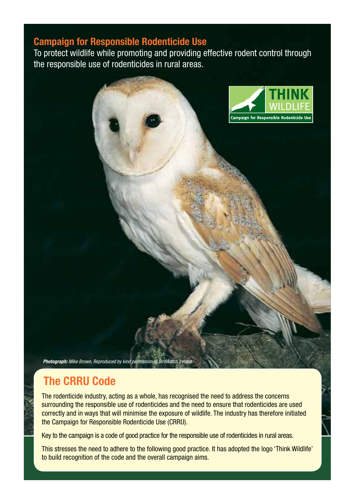#### Campaign for Responsible Rodenticide Use

To protect wildlife while promoting and providing effective rodent control through the responsible use of rodenticides in rural areas.



*Photograph: Mike Brown, Reproduced by kind permission of BirdWatch Ireland.*

## The CRRU Code

The rodenticide industry, acting as a whole, has recognised the need to address the concerns surrounding the responsible use of rodenticides and the need to ensure that rodenticides are used correctly and in ways that will minimise the exposure of wildlife. The industry has therefore initiated the Campaign for Responsible Rodenticide Use (CRRU).

Key to the campaign is a code of good practice for the responsible use of rodenticides in rural areas.

This stresses the need to adhere to the following good practice. It has adopted the logo 'Think Wildlife' to build recognition of the code and the overall campaign aims.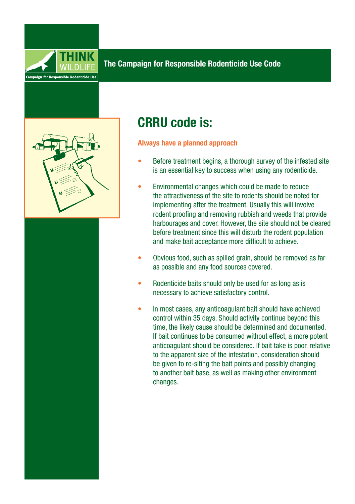



# CRRU code is:

#### Always have a planned approach

- Before treatment begins, a thorough survey of the infested site is an essential key to success when using any rodenticide.
- Environmental changes which could be made to reduce the attractiveness of the site to rodents should be noted for implementing after the treatment. Usually this will involve rodent proofing and removing rubbish and weeds that provide harbourages and cover. However, the site should not be cleared before treatment since this will disturb the rodent population and make bait acceptance more difficult to achieve.
- Obvious food, such as spilled grain, should be removed as far as possible and any food sources covered.
- Rodenticide baits should only be used for as long as is necessary to achieve satisfactory control.
- In most cases, any anticoagulant bait should have achieved control within 35 days. Should activity continue beyond this time, the likely cause should be determined and documented. If bait continues to be consumed without effect, a more potent anticoagulant should be considered. If bait take is poor, relative to the apparent size of the infestation, consideration should be given to re-siting the bait points and possibly changing to another bait base, as well as making other environment changes.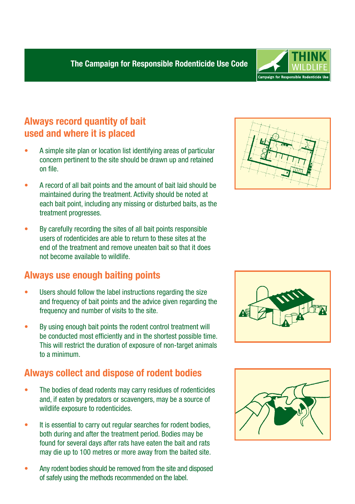

## Always record quantity of bait used and where it is placed

- A simple site plan or location list identifying areas of particular concern pertinent to the site should be drawn up and retained on file.
- A record of all bait points and the amount of bait laid should be maintained during the treatment. Activity should be noted at each bait point, including any missing or disturbed baits, as the treatment progresses.
- By carefully recording the sites of all bait points responsible users of rodenticides are able to return to these sites at the end of the treatment and remove uneaten bait so that it does not become available to wildlife.

### Always use enough baiting points

- Users should follow the label instructions regarding the size and frequency of bait points and the advice given regarding the frequency and number of visits to the site.
- By using enough bait points the rodent control treatment will be conducted most efficiently and in the shortest possible time. This will restrict the duration of exposure of non-target animals to a minimum.

### Always collect and dispose of rodent bodies

- The bodies of dead rodents may carry residues of rodenticides and, if eaten by predators or scavengers, may be a source of wildlife exposure to rodenticides.
- It is essential to carry out regular searches for rodent bodies, both during and after the treatment period. Bodies may be found for several days after rats have eaten the bait and rats may die up to 100 metres or more away from the baited site.
- Any rodent bodies should be removed from the site and disposed of safely using the methods recommended on the label.